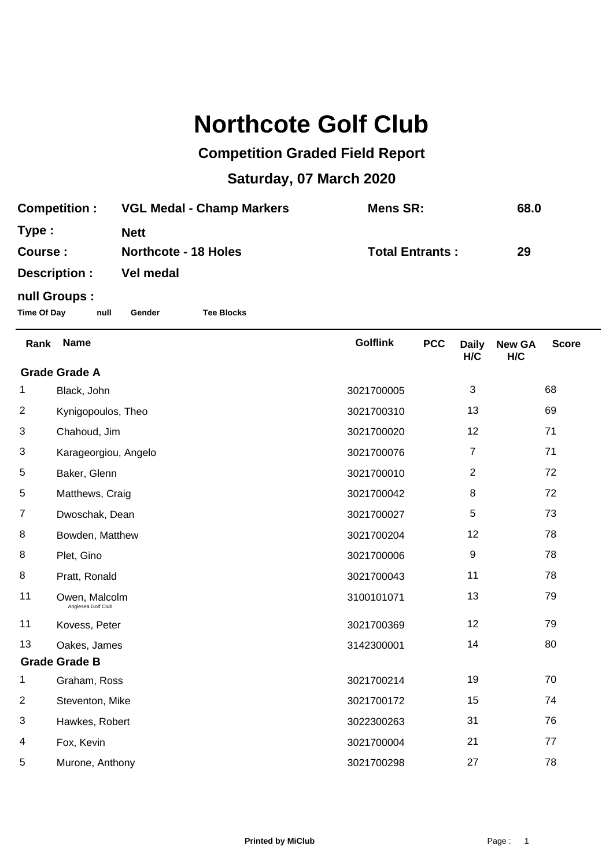## **Northcote Golf Club**

## **Competition Graded Field Report**

## **Saturday, 07 March 2020**

| <b>Competition:</b> | <b>VGL Medal - Champ Markers</b> | Mens SR:               | 68.0 |
|---------------------|----------------------------------|------------------------|------|
| Type :              | <b>Nett</b>                      |                        |      |
| Course :            | <b>Northcote - 18 Holes</b>      | <b>Total Entrants:</b> | 29   |
| Description :       | Vel medal                        |                        |      |
| null Groups :       |                                  |                        |      |

**Time Of Day null Gender Tee Blocks**

| Rank                 | <b>Name</b>                         | <b>Golflink</b> | <b>PCC</b> | <b>Daily</b><br>H/C | <b>New GA</b><br>H/C | <b>Score</b> |  |
|----------------------|-------------------------------------|-----------------|------------|---------------------|----------------------|--------------|--|
| <b>Grade Grade A</b> |                                     |                 |            |                     |                      |              |  |
| 1                    | Black, John                         | 3021700005      |            | 3                   |                      | 68           |  |
| $\overline{2}$       | Kynigopoulos, Theo                  | 3021700310      |            | 13                  |                      | 69           |  |
| 3                    | Chahoud, Jim                        | 3021700020      |            | 12                  |                      | 71           |  |
| 3                    | Karageorgiou, Angelo                | 3021700076      |            | 7                   |                      | 71           |  |
| 5                    | Baker, Glenn                        | 3021700010      |            | $\overline{2}$      |                      | 72           |  |
| 5                    | Matthews, Craig                     | 3021700042      |            | 8                   |                      | 72           |  |
| $\overline{7}$       | Dwoschak, Dean                      | 3021700027      |            | $\,$ 5 $\,$         |                      | 73           |  |
| 8                    | Bowden, Matthew                     | 3021700204      |            | 12                  |                      | 78           |  |
| 8                    | Plet, Gino                          | 3021700006      |            | 9                   |                      | 78           |  |
| 8                    | Pratt, Ronald                       | 3021700043      |            | 11                  |                      | 78           |  |
| 11                   | Owen, Malcolm<br>Anglesea Golf Club | 3100101071      |            | 13                  |                      | 79           |  |
| 11                   | Kovess, Peter                       | 3021700369      |            | 12                  |                      | 79           |  |
| 13                   | Oakes, James                        | 3142300001      |            | 14                  |                      | 80           |  |
| <b>Grade Grade B</b> |                                     |                 |            |                     |                      |              |  |
| 1                    | Graham, Ross                        | 3021700214      |            | 19                  |                      | 70           |  |
| $\overline{2}$       | Steventon, Mike                     | 3021700172      |            | 15                  |                      | 74           |  |
| 3                    | Hawkes, Robert                      | 3022300263      |            | 31                  |                      | 76           |  |
| 4                    | Fox, Kevin                          | 3021700004      |            | 21                  |                      | 77           |  |
| 5                    | Murone, Anthony                     | 3021700298      |            | 27                  |                      | 78           |  |